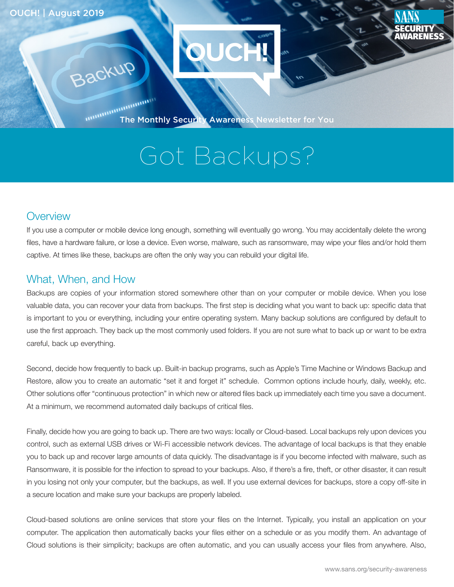Backup



The Monthly Security Awareness Newsletter for You

# Got Backups?

#### **Overview**

If you use a computer or mobile device long enough, something will eventually go wrong. You may accidentally delete the wrong files, have a hardware failure, or lose a device. Even worse, malware, such as ransomware, may wipe your files and/or hold them captive. At times like these, backups are often the only way you can rebuild your digital life.

#### What, When, and How

Backups are copies of your information stored somewhere other than on your computer or mobile device. When you lose valuable data, you can recover your data from backups. The first step is deciding what you want to back up: specific data that is important to you or everything, including your entire operating system. Many backup solutions are configured by default to use the first approach. They back up the most commonly used folders. If you are not sure what to back up or want to be extra careful, back up everything.

Second, decide how frequently to back up. Built-in backup programs, such as Apple's Time Machine or Windows Backup and Restore, allow you to create an automatic "set it and forget it" schedule. Common options include hourly, daily, weekly, etc. Other solutions offer "continuous protection" in which new or altered files back up immediately each time you save a document. At a minimum, we recommend automated daily backups of critical files.

Finally, decide how you are going to back up. There are two ways: locally or Cloud-based. Local backups rely upon devices you control, such as external USB drives or Wi-Fi accessible network devices. The advantage of local backups is that they enable you to back up and recover large amounts of data quickly. The disadvantage is if you become infected with malware, such as Ransomware, it is possible for the infection to spread to your backups. Also, if there's a fire, theft, or other disaster, it can result in you losing not only your computer, but the backups, as well. If you use external devices for backups, store a copy off-site in a secure location and make sure your backups are properly labeled.

Cloud-based solutions are online services that store your files on the Internet. Typically, you install an application on your computer. The application then automatically backs your files either on a schedule or as you modify them. An advantage of Cloud solutions is their simplicity; backups are often automatic, and you can usually access your files from anywhere. Also,